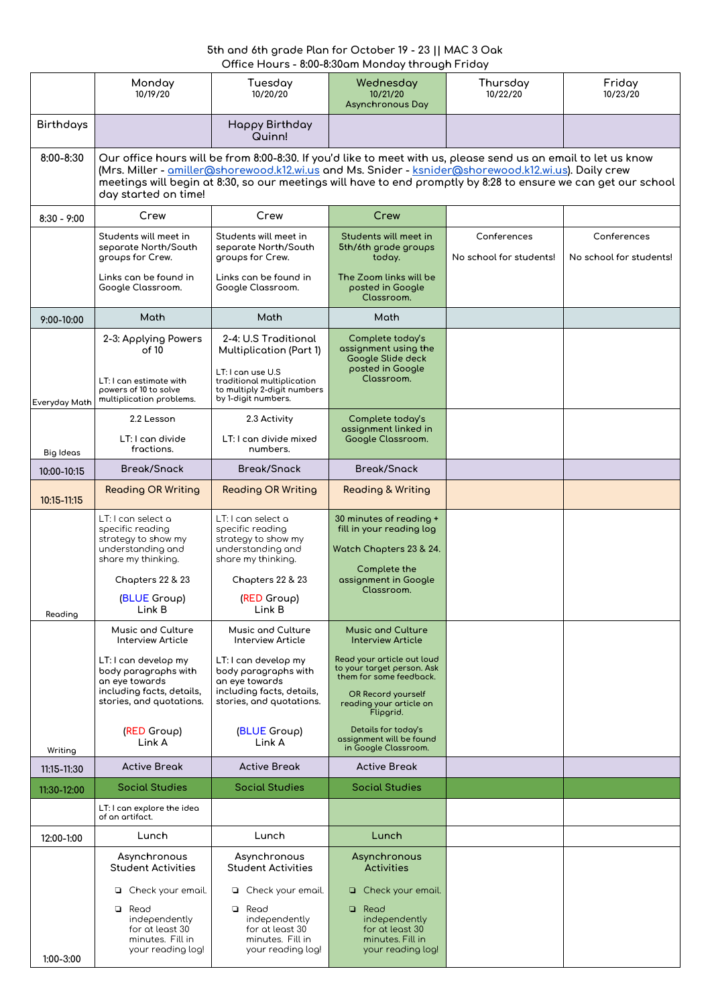## **5th and 6th grade Plan for October 19 - 23 || MAC 3 Oak Office Hours - 8:00-8:30am Monday through Friday**

|                  | Monday<br>10/19/20                                                                                                                                                                                                                                                                                                                                               | Tuesday<br>10/20/20                                                                                                                                             | Wednesday<br>10/21/20<br><b>Asynchronous Day</b>                                                          | Thursday<br>10/22/20                   | Friday<br>10/23/20                     |
|------------------|------------------------------------------------------------------------------------------------------------------------------------------------------------------------------------------------------------------------------------------------------------------------------------------------------------------------------------------------------------------|-----------------------------------------------------------------------------------------------------------------------------------------------------------------|-----------------------------------------------------------------------------------------------------------|----------------------------------------|----------------------------------------|
| <b>Birthdays</b> |                                                                                                                                                                                                                                                                                                                                                                  | Happy Birthday<br>Quinn!                                                                                                                                        |                                                                                                           |                                        |                                        |
| 8:00-8:30        | Our office hours will be from 8:00-8:30. If you'd like to meet with us, please send us an email to let us know<br>(Mrs. Miller - amiller@shorewood.k12.wi.us and Ms. Snider - ksnider@shorewood.k12.wi.us). Daily crew<br>meetings will begin at 8:30, so our meetings will have to end promptly by 8:28 to ensure we can get our school<br>day started on time! |                                                                                                                                                                 |                                                                                                           |                                        |                                        |
| $8:30 - 9:00$    | Crew                                                                                                                                                                                                                                                                                                                                                             | Crew                                                                                                                                                            | Crew                                                                                                      |                                        |                                        |
|                  | Students will meet in<br>separate North/South<br>groups for Crew.                                                                                                                                                                                                                                                                                                | Students will meet in<br>separate North/South<br>groups for Crew.                                                                                               | Students will meet in<br>5th/6th grade groups<br>today.                                                   | Conferences<br>No school for students! | Conferences<br>No school for students! |
|                  | Links can be found in<br>Google Classroom.                                                                                                                                                                                                                                                                                                                       | Links can be found in<br>Google Classroom.                                                                                                                      | The Zoom links will be<br>posted in Google<br>Classroom.                                                  |                                        |                                        |
| 9:00-10:00       | Math                                                                                                                                                                                                                                                                                                                                                             | Math                                                                                                                                                            | Math                                                                                                      |                                        |                                        |
|                  | 2-3: Applying Powers<br>of 10<br>LT: I can estimate with<br>powers of 10 to solve<br>multiplication problems.                                                                                                                                                                                                                                                    | 2-4: U.S Traditional<br><b>Multiplication (Part 1)</b><br>LT: I can use U.S<br>traditional multiplication<br>to multiply 2-digit numbers<br>by 1-digit numbers. | Complete today's<br>assignment using the<br>Google Slide deck<br>posted in Google<br>Classroom.           |                                        |                                        |
| Everyday Math    | 2.2 Lesson                                                                                                                                                                                                                                                                                                                                                       | 2.3 Activity                                                                                                                                                    | Complete today's                                                                                          |                                        |                                        |
| <b>Big Ideas</b> | LT: I can divide<br>fractions.                                                                                                                                                                                                                                                                                                                                   | LT: I can divide mixed<br>numbers.                                                                                                                              | assignment linked in<br>Google Classroom.                                                                 |                                        |                                        |
| 10:00-10:15      | <b>Break/Snack</b>                                                                                                                                                                                                                                                                                                                                               | <b>Break/Snack</b>                                                                                                                                              | <b>Break/Snack</b>                                                                                        |                                        |                                        |
| 10:15-11:15      | <b>Reading OR Writing</b>                                                                                                                                                                                                                                                                                                                                        | <b>Reading OR Writing</b>                                                                                                                                       | <b>Reading &amp; Writing</b>                                                                              |                                        |                                        |
| Reading          | LT: I can select a<br>specific reading<br>strategy to show my<br>understanding and<br>share my thinking.                                                                                                                                                                                                                                                         | LT: I can select a<br>specific reading<br>strategy to show my<br>understanding and<br>share my thinking.                                                        | 30 minutes of reading +<br>fill in your reading log<br>Watch Chapters 23 & 24.<br>Complete the            |                                        |                                        |
|                  | Chapters 22 & 23<br>(BLUE Group)<br>Link B                                                                                                                                                                                                                                                                                                                       | Chapters 22 & 23<br>(RED Group)<br>Link B                                                                                                                       | assignment in Google<br>Classroom.                                                                        |                                        |                                        |
|                  | <b>Music and Culture</b><br><b>Interview Article</b>                                                                                                                                                                                                                                                                                                             | <b>Music and Culture</b><br><b>Interview Article</b>                                                                                                            | <b>Music and Culture</b><br><b>Interview Article</b>                                                      |                                        |                                        |
|                  | LT: I can develop my<br>body paragraphs with<br>an eye towards<br>including facts, details,                                                                                                                                                                                                                                                                      | LT: I can develop my<br>body paragraphs with<br>an eye towards<br>including facts, details,                                                                     | Read your article out loud<br>to your target person. Ask<br>them for some feedback.<br>OR Record yourself |                                        |                                        |
|                  | stories, and quotations.<br>(RED Group)                                                                                                                                                                                                                                                                                                                          | stories, and quotations.<br>(BLUE Group)                                                                                                                        | reading your article on<br>Flipgrid.<br>Details for today's                                               |                                        |                                        |
| Writing          | Link A                                                                                                                                                                                                                                                                                                                                                           | Link A                                                                                                                                                          | assignment will be found<br>in Google Classroom.                                                          |                                        |                                        |
| 11:15-11:30      | <b>Active Break</b>                                                                                                                                                                                                                                                                                                                                              | <b>Active Break</b>                                                                                                                                             | <b>Active Break</b>                                                                                       |                                        |                                        |
| 11:30-12:00      | <b>Social Studies</b>                                                                                                                                                                                                                                                                                                                                            | <b>Social Studies</b>                                                                                                                                           | <b>Social Studies</b>                                                                                     |                                        |                                        |
|                  | LT: I can explore the idea<br>of an artifact.                                                                                                                                                                                                                                                                                                                    |                                                                                                                                                                 |                                                                                                           |                                        |                                        |
| 12:00-1:00       | Lunch                                                                                                                                                                                                                                                                                                                                                            | Lunch                                                                                                                                                           | Lunch                                                                                                     |                                        |                                        |
|                  | Asynchronous<br><b>Student Activities</b>                                                                                                                                                                                                                                                                                                                        | Asynchronous<br><b>Student Activities</b>                                                                                                                       | Asynchronous<br><b>Activities</b>                                                                         |                                        |                                        |
|                  | Check your email.<br>$\Box$                                                                                                                                                                                                                                                                                                                                      | Check your email.<br>$\Box$                                                                                                                                     | Check your email.<br>$\begin{array}{c} \square \end{array}$                                               |                                        |                                        |
| $1:00 - 3:00$    | Read<br>❏<br>independently<br>for at least 30<br>minutes. Fill in<br>your reading log!                                                                                                                                                                                                                                                                           | Read<br>❏<br>independently<br>for at least 30<br>minutes. Fill in<br>your reading log!                                                                          | Read<br>$\Box$<br>independently<br>for at least 30<br>minutes. Fill in<br>your reading log!               |                                        |                                        |
|                  |                                                                                                                                                                                                                                                                                                                                                                  |                                                                                                                                                                 |                                                                                                           |                                        |                                        |